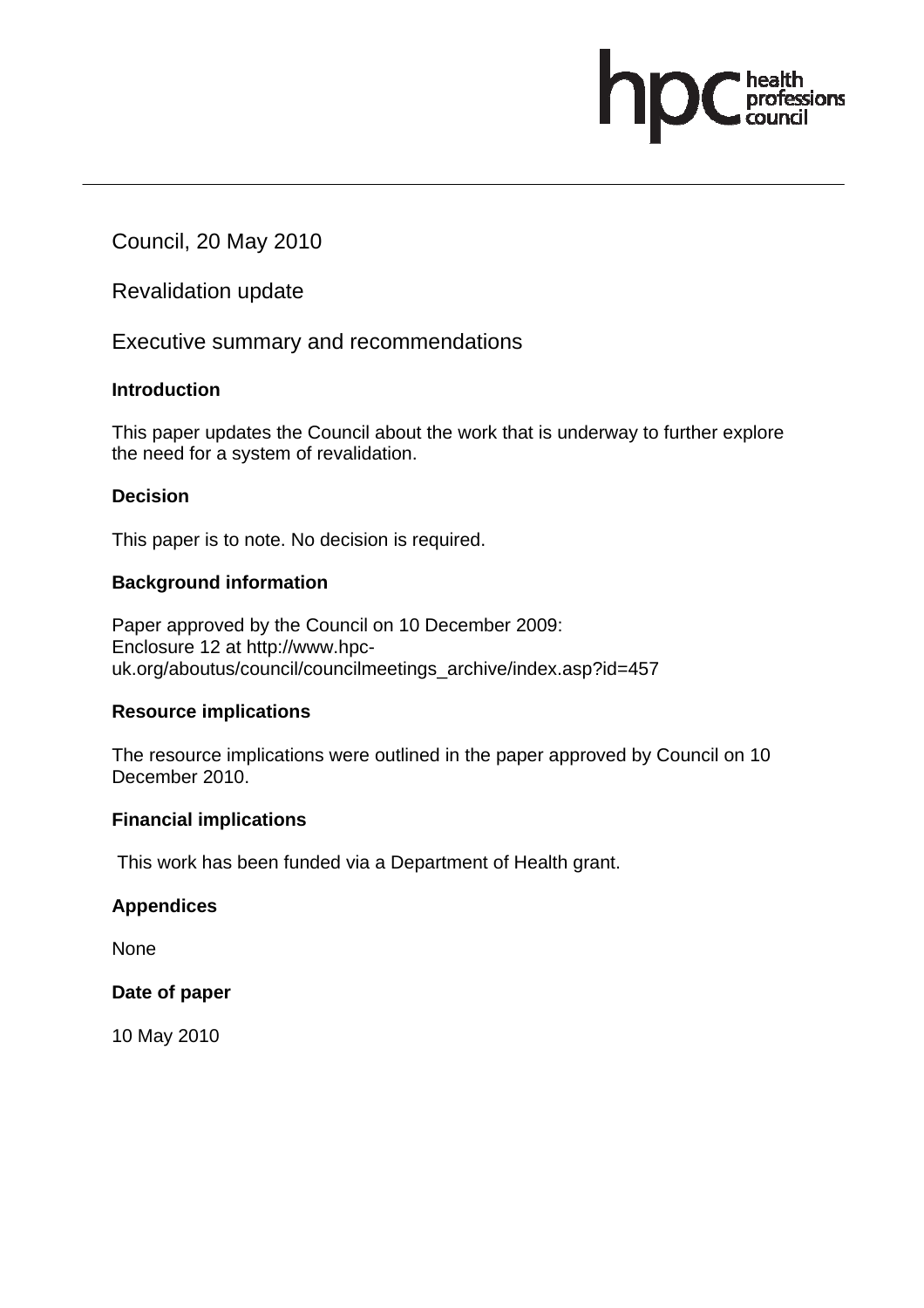Council, 20 May 2010

Revalidation update

Executive summary and recommendations

#### **Introduction**

This paper updates the Council about the work that is underway to further explore the need for a system of revalidation.

essions

## **Decision**

This paper is to note. No decision is required.

## **Background information**

Paper approved by the Council on 10 December 2009: Enclosure 12 at http://www.hpcuk.org/aboutus/council/councilmeetings\_archive/index.asp?id=457

#### **Resource implications**

The resource implications were outlined in the paper approved by Council on 10 December 2010.

#### **Financial implications**

This work has been funded via a Department of Health grant.

#### **Appendices**

None

#### **Date of paper**

10 May 2010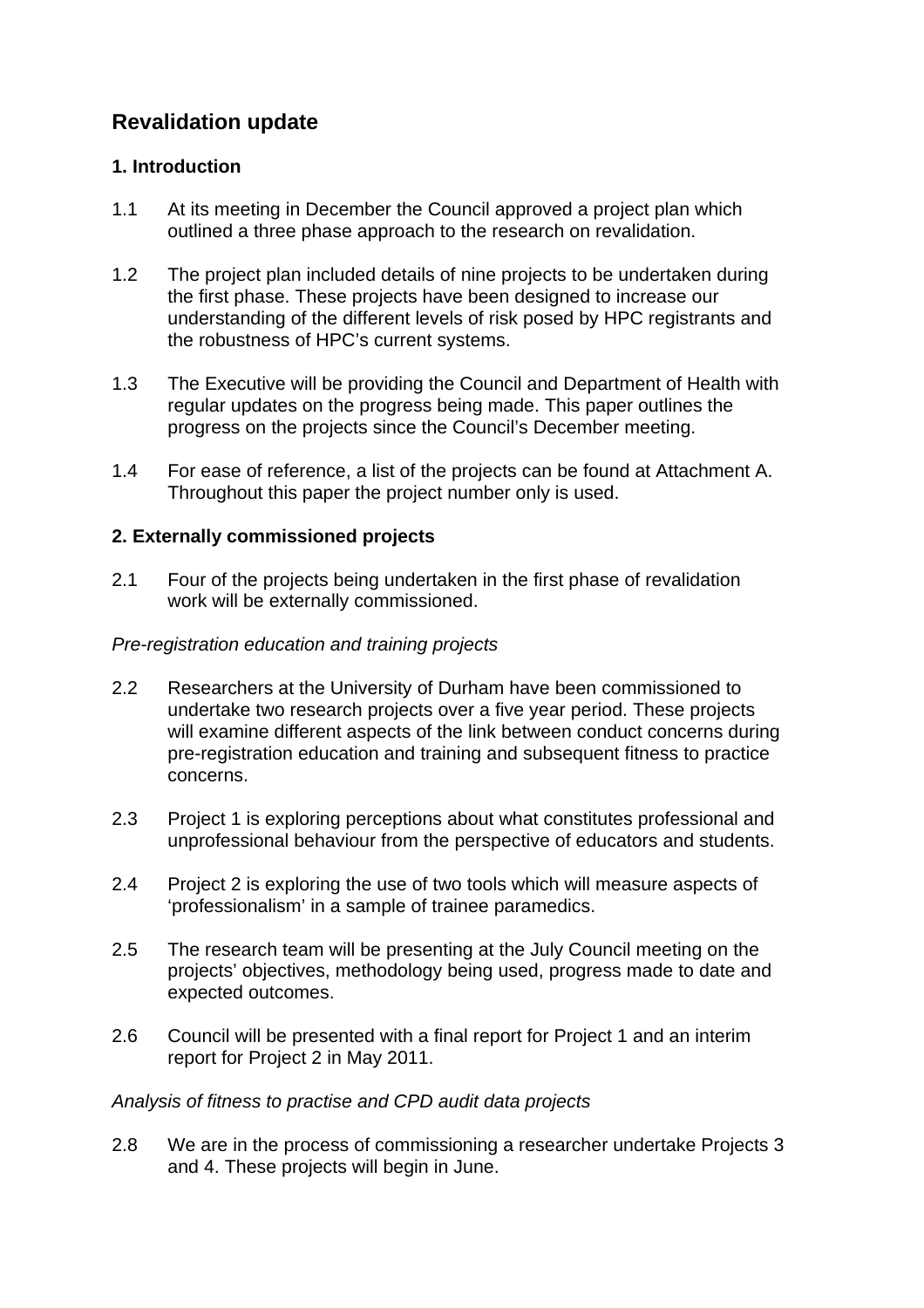# **Revalidation update**

## **1. Introduction**

- 1.1 At its meeting in December the Council approved a project plan which outlined a three phase approach to the research on revalidation.
- 1.2 The project plan included details of nine projects to be undertaken during the first phase. These projects have been designed to increase our understanding of the different levels of risk posed by HPC registrants and the robustness of HPC's current systems.
- 1.3 The Executive will be providing the Council and Department of Health with regular updates on the progress being made. This paper outlines the progress on the projects since the Council's December meeting.
- 1.4 For ease of reference, a list of the projects can be found at Attachment A. Throughout this paper the project number only is used.

## **2. Externally commissioned projects**

2.1 Four of the projects being undertaken in the first phase of revalidation work will be externally commissioned.

## *Pre-registration education and training projects*

- 2.2 Researchers at the University of Durham have been commissioned to undertake two research projects over a five year period. These projects will examine different aspects of the link between conduct concerns during pre-registration education and training and subsequent fitness to practice concerns.
- 2.3 Project 1 is exploring perceptions about what constitutes professional and unprofessional behaviour from the perspective of educators and students.
- 2.4 Project 2 is exploring the use of two tools which will measure aspects of 'professionalism' in a sample of trainee paramedics.
- 2.5 The research team will be presenting at the July Council meeting on the projects' objectives, methodology being used, progress made to date and expected outcomes.
- 2.6 Council will be presented with a final report for Project 1 and an interim report for Project 2 in May 2011.

#### *Analysis of fitness to practise and CPD audit data projects*

2.8 We are in the process of commissioning a researcher undertake Projects 3 and 4. These projects will begin in June.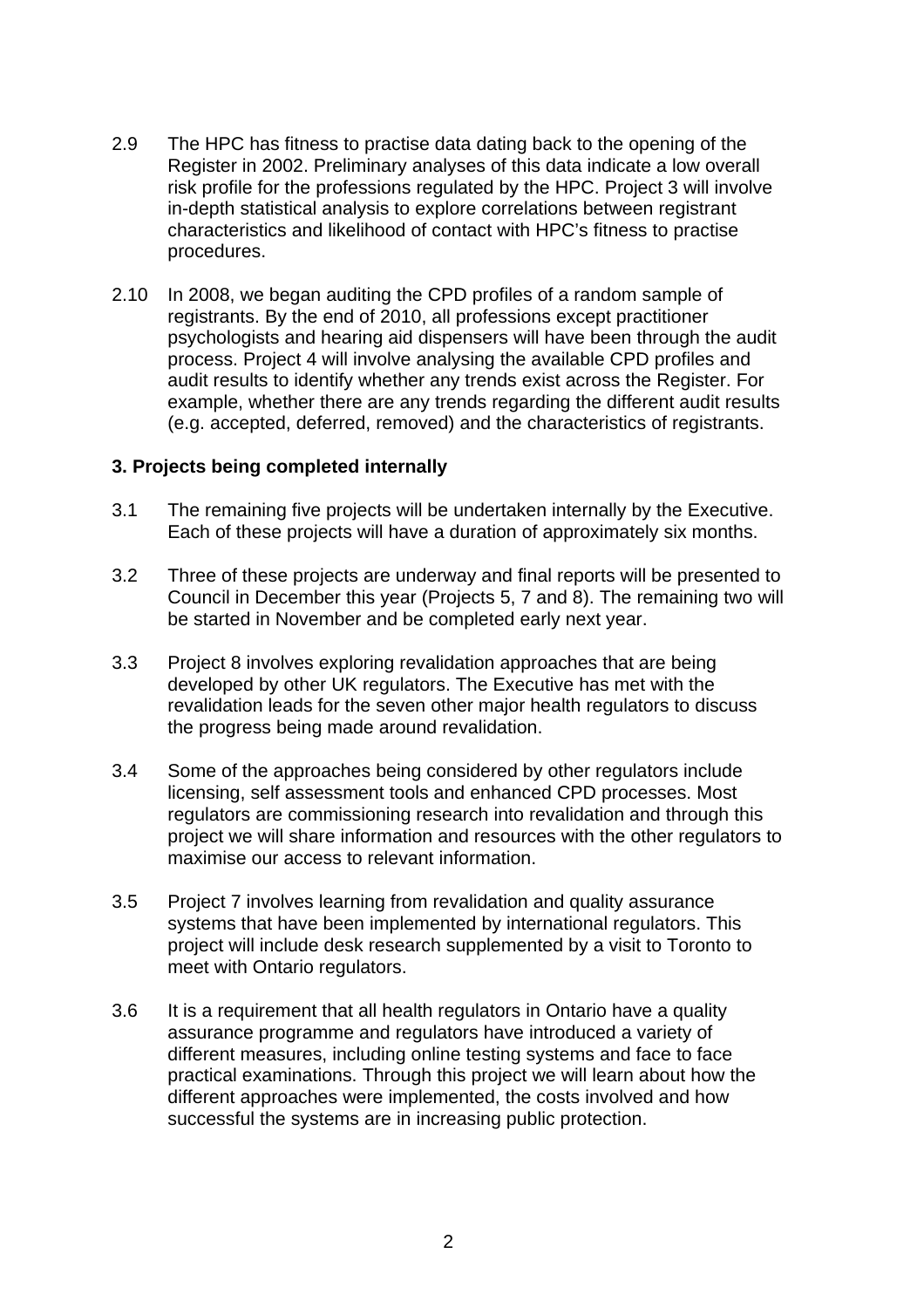- 2.9 The HPC has fitness to practise data dating back to the opening of the Register in 2002. Preliminary analyses of this data indicate a low overall risk profile for the professions regulated by the HPC. Project 3 will involve in-depth statistical analysis to explore correlations between registrant characteristics and likelihood of contact with HPC's fitness to practise procedures.
- 2.10 In 2008, we began auditing the CPD profiles of a random sample of registrants. By the end of 2010, all professions except practitioner psychologists and hearing aid dispensers will have been through the audit process. Project 4 will involve analysing the available CPD profiles and audit results to identify whether any trends exist across the Register. For example, whether there are any trends regarding the different audit results (e.g. accepted, deferred, removed) and the characteristics of registrants.

#### **3. Projects being completed internally**

- 3.1 The remaining five projects will be undertaken internally by the Executive. Each of these projects will have a duration of approximately six months.
- 3.2 Three of these projects are underway and final reports will be presented to Council in December this year (Projects 5, 7 and 8). The remaining two will be started in November and be completed early next year.
- 3.3 Project 8 involves exploring revalidation approaches that are being developed by other UK regulators. The Executive has met with the revalidation leads for the seven other major health regulators to discuss the progress being made around revalidation.
- 3.4 Some of the approaches being considered by other regulators include licensing, self assessment tools and enhanced CPD processes. Most regulators are commissioning research into revalidation and through this project we will share information and resources with the other regulators to maximise our access to relevant information.
- 3.5 Project 7 involves learning from revalidation and quality assurance systems that have been implemented by international regulators. This project will include desk research supplemented by a visit to Toronto to meet with Ontario regulators.
- 3.6 It is a requirement that all health regulators in Ontario have a quality assurance programme and regulators have introduced a variety of different measures, including online testing systems and face to face practical examinations. Through this project we will learn about how the different approaches were implemented, the costs involved and how successful the systems are in increasing public protection.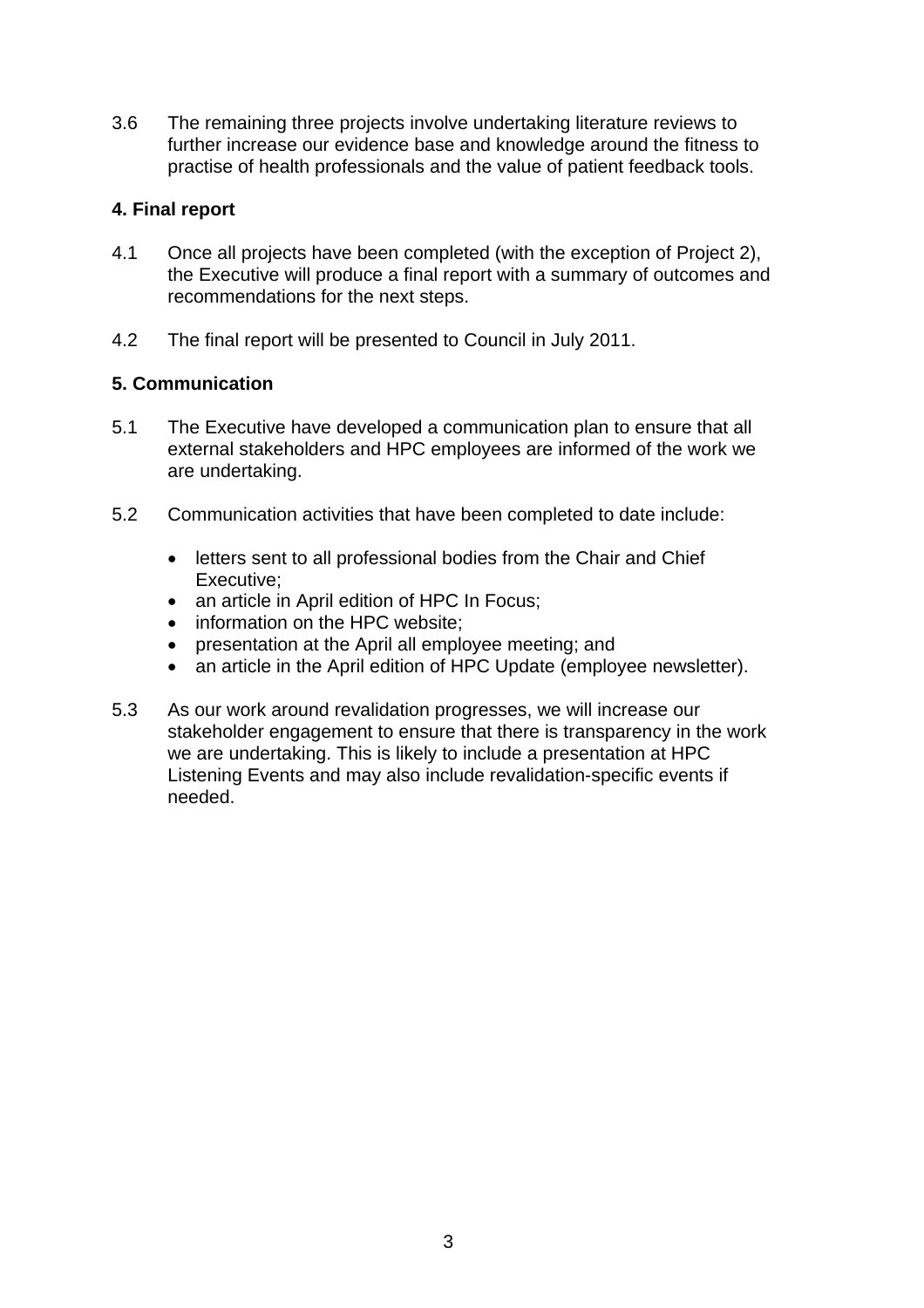3.6 The remaining three projects involve undertaking literature reviews to further increase our evidence base and knowledge around the fitness to practise of health professionals and the value of patient feedback tools.

## **4. Final report**

- 4.1 Once all projects have been completed (with the exception of Project 2), the Executive will produce a final report with a summary of outcomes and recommendations for the next steps.
- 4.2 The final report will be presented to Council in July 2011.

## **5. Communication**

- 5.1 The Executive have developed a communication plan to ensure that all external stakeholders and HPC employees are informed of the work we are undertaking.
- 5.2 Communication activities that have been completed to date include:
	- letters sent to all professional bodies from the Chair and Chief Executive;
	- an article in April edition of HPC In Focus;
	- information on the HPC website:
	- presentation at the April all employee meeting; and
	- an article in the April edition of HPC Update (employee newsletter).
- 5.3 As our work around revalidation progresses, we will increase our stakeholder engagement to ensure that there is transparency in the work we are undertaking. This is likely to include a presentation at HPC Listening Events and may also include revalidation-specific events if needed.